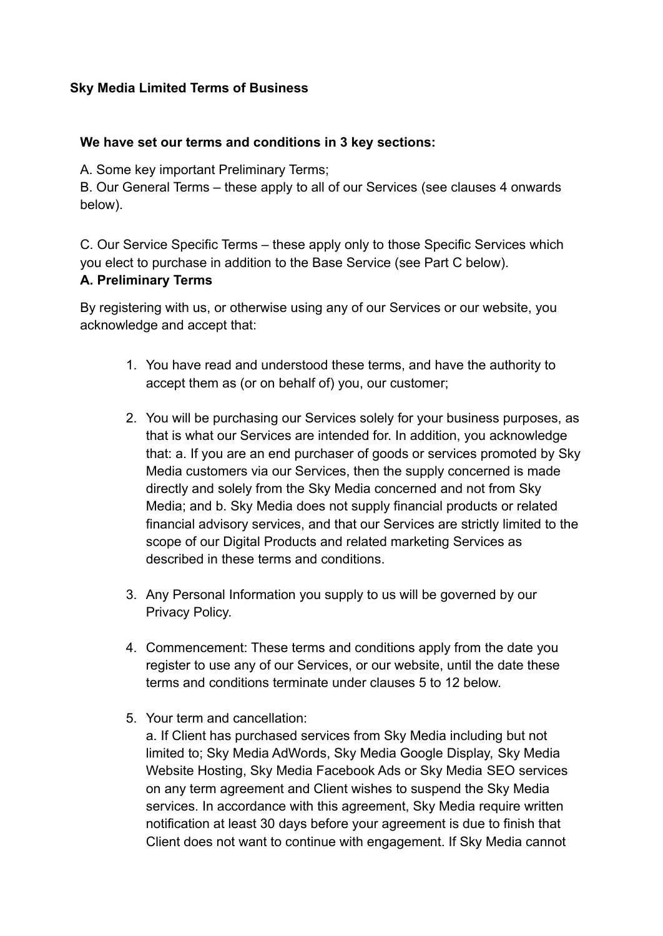#### **Sky Media Limited Terms of Business**

#### **We have set our terms and conditions in 3 key sections:**

A. Some key important Preliminary Terms;

B. Our General Terms – these apply to all of our Services (see clauses 4 onwards below).

C. Our Service Specific Terms – these apply only to those Specific Services which you elect to purchase in addition to the Base Service (see Part C below).

#### **A. Preliminary Terms**

By registering with us, or otherwise using any of our Services or our website, you acknowledge and accept that:

- 1. You have read and understood these terms, and have the authority to accept them as (or on behalf of) you, our customer;
- 2. You will be purchasing our Services solely for your business purposes, as that is what our Services are intended for. In addition, you acknowledge that: a. If you are an end purchaser of goods or services promoted by Sky Media customers via our Services, then the supply concerned is made directly and solely from the Sky Media concerned and not from Sky Media; and b. Sky Media does not supply financial products or related financial advisory services, and that our Services are strictly limited to the scope of our Digital Products and related marketing Services as described in these terms and conditions.
- 3. Any Personal Information you supply to us will be governed by our Privacy Policy.
- 4. Commencement: These terms and conditions apply from the date you register to use any of our Services, or our website, until the date these terms and conditions terminate under clauses 5 to 12 below.
- 5. Your term and cancellation:

a. If Client has purchased services from Sky Media including but not limited to; Sky Media AdWords, Sky Media Google Display, Sky Media Website Hosting, Sky Media Facebook Ads or Sky Media SEO services on any term agreement and Client wishes to suspend the Sky Media services. In accordance with this agreement, Sky Media require written notification at least 30 days before your agreement is due to finish that Client does not want to continue with engagement. If Sky Media cannot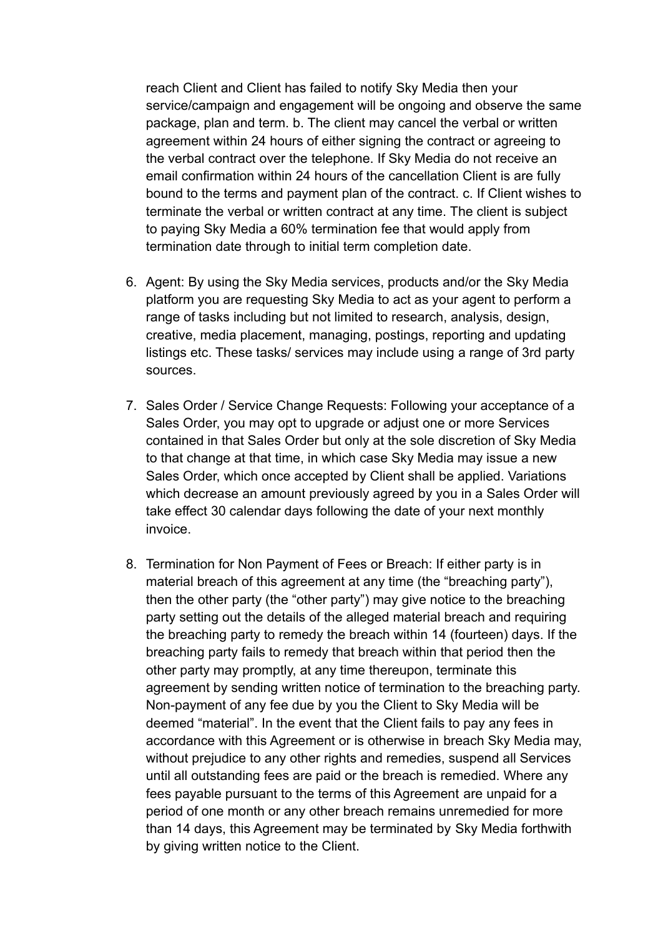reach Client and Client has failed to notify Sky Media then your service/campaign and engagement will be ongoing and observe the same package, plan and term. b. The client may cancel the verbal or written agreement within 24 hours of either signing the contract or agreeing to the verbal contract over the telephone. If Sky Media do not receive an email confirmation within 24 hours of the cancellation Client is are fully bound to the terms and payment plan of the contract. c. If Client wishes to terminate the verbal or written contract at any time. The client is subject to paying Sky Media a 60% termination fee that would apply from termination date through to initial term completion date.

- 6. Agent: By using the Sky Media services, products and/or the Sky Media platform you are requesting Sky Media to act as your agent to perform a range of tasks including but not limited to research, analysis, design, creative, media placement, managing, postings, reporting and updating listings etc. These tasks/ services may include using a range of 3rd party sources.
- 7. Sales Order / Service Change Requests: Following your acceptance of a Sales Order, you may opt to upgrade or adjust one or more Services contained in that Sales Order but only at the sole discretion of Sky Media to that change at that time, in which case Sky Media may issue a new Sales Order, which once accepted by Client shall be applied. Variations which decrease an amount previously agreed by you in a Sales Order will take effect 30 calendar days following the date of your next monthly invoice.
- 8. Termination for Non Payment of Fees or Breach: If either party is in material breach of this agreement at any time (the "breaching party"), then the other party (the "other party") may give notice to the breaching party setting out the details of the alleged material breach and requiring the breaching party to remedy the breach within 14 (fourteen) days. If the breaching party fails to remedy that breach within that period then the other party may promptly, at any time thereupon, terminate this agreement by sending written notice of termination to the breaching party. Non-payment of any fee due by you the Client to Sky Media will be deemed "material". In the event that the Client fails to pay any fees in accordance with this Agreement or is otherwise in breach Sky Media may, without prejudice to any other rights and remedies, suspend all Services until all outstanding fees are paid or the breach is remedied. Where any fees payable pursuant to the terms of this Agreement are unpaid for a period of one month or any other breach remains unremedied for more than 14 days, this Agreement may be terminated by Sky Media forthwith by giving written notice to the Client.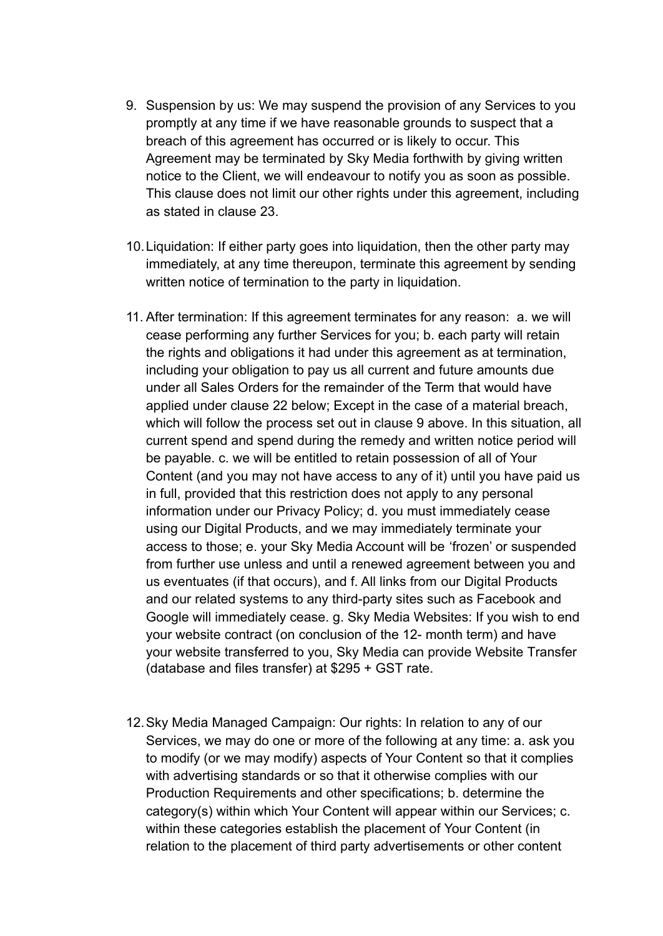- 9. Suspension by us: We may suspend the provision of any Services to you promptly at any time if we have reasonable grounds to suspect that a breach of this agreement has occurred or is likely to occur. This Agreement may be terminated by Sky Media forthwith by giving written notice to the Client, we will endeavour to notify you as soon as possible. This clause does not limit our other rights under this agreement, including as stated in clause 23.
- 10.Liquidation: If either party goes into liquidation, then the other party may immediately, at any time thereupon, terminate this agreement by sending written notice of termination to the party in liquidation.
- 11. After termination: If this agreement terminates for any reason: a. we will cease performing any further Services for you; b. each party will retain the rights and obligations it had under this agreement as at termination, including your obligation to pay us all current and future amounts due under all Sales Orders for the remainder of the Term that would have applied under clause 22 below; Except in the case of a material breach, which will follow the process set out in clause 9 above. In this situation, all current spend and spend during the remedy and written notice period will be payable. c. we will be entitled to retain possession of all of Your Content (and you may not have access to any of it) until you have paid us in full, provided that this restriction does not apply to any personal information under our Privacy Policy; d. you must immediately cease using our Digital Products, and we may immediately terminate your access to those; e. your Sky Media Account will be 'frozen' or suspended from further use unless and until a renewed agreement between you and us eventuates (if that occurs), and f. All links from our Digital Products and our related systems to any third-party sites such as Facebook and Google will immediately cease. g. Sky Media Websites: If you wish to end your website contract (on conclusion of the 12- month term) and have your website transferred to you, Sky Media can provide Website Transfer (database and files transfer) at \$295 + GST rate.
- 12.Sky Media Managed Campaign: Our rights: In relation to any of our Services, we may do one or more of the following at any time: a. ask you to modify (or we may modify) aspects of Your Content so that it complies with advertising standards or so that it otherwise complies with our Production Requirements and other specifications; b. determine the category(s) within which Your Content will appear within our Services; c. within these categories establish the placement of Your Content (in relation to the placement of third party advertisements or other content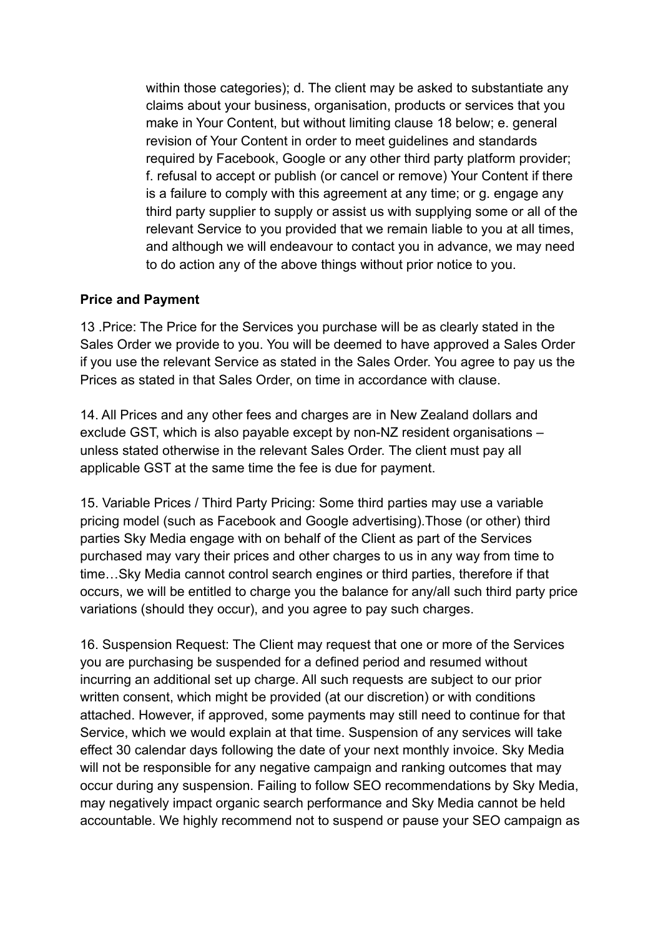within those categories); d. The client may be asked to substantiate any claims about your business, organisation, products or services that you make in Your Content, but without limiting clause 18 below; e. general revision of Your Content in order to meet guidelines and standards required by Facebook, Google or any other third party platform provider; f. refusal to accept or publish (or cancel or remove) Your Content if there is a failure to comply with this agreement at any time; or g. engage any third party supplier to supply or assist us with supplying some or all of the relevant Service to you provided that we remain liable to you at all times, and although we will endeavour to contact you in advance, we may need to do action any of the above things without prior notice to you.

#### **Price and Payment**

13 .Price: The Price for the Services you purchase will be as clearly stated in the Sales Order we provide to you. You will be deemed to have approved a Sales Order if you use the relevant Service as stated in the Sales Order. You agree to pay us the Prices as stated in that Sales Order, on time in accordance with clause.

14. All Prices and any other fees and charges are in New Zealand dollars and exclude GST, which is also payable except by non-NZ resident organisations – unless stated otherwise in the relevant Sales Order. The client must pay all applicable GST at the same time the fee is due for payment.

15. Variable Prices / Third Party Pricing: Some third parties may use a variable pricing model (such as Facebook and Google advertising).Those (or other) third parties Sky Media engage with on behalf of the Client as part of the Services purchased may vary their prices and other charges to us in any way from time to time…Sky Media cannot control search engines or third parties, therefore if that occurs, we will be entitled to charge you the balance for any/all such third party price variations (should they occur), and you agree to pay such charges.

16. Suspension Request: The Client may request that one or more of the Services you are purchasing be suspended for a defined period and resumed without incurring an additional set up charge. All such requests are subject to our prior written consent, which might be provided (at our discretion) or with conditions attached. However, if approved, some payments may still need to continue for that Service, which we would explain at that time. Suspension of any services will take effect 30 calendar days following the date of your next monthly invoice. Sky Media will not be responsible for any negative campaign and ranking outcomes that may occur during any suspension. Failing to follow SEO recommendations by Sky Media, may negatively impact organic search performance and Sky Media cannot be held accountable. We highly recommend not to suspend or pause your SEO campaign as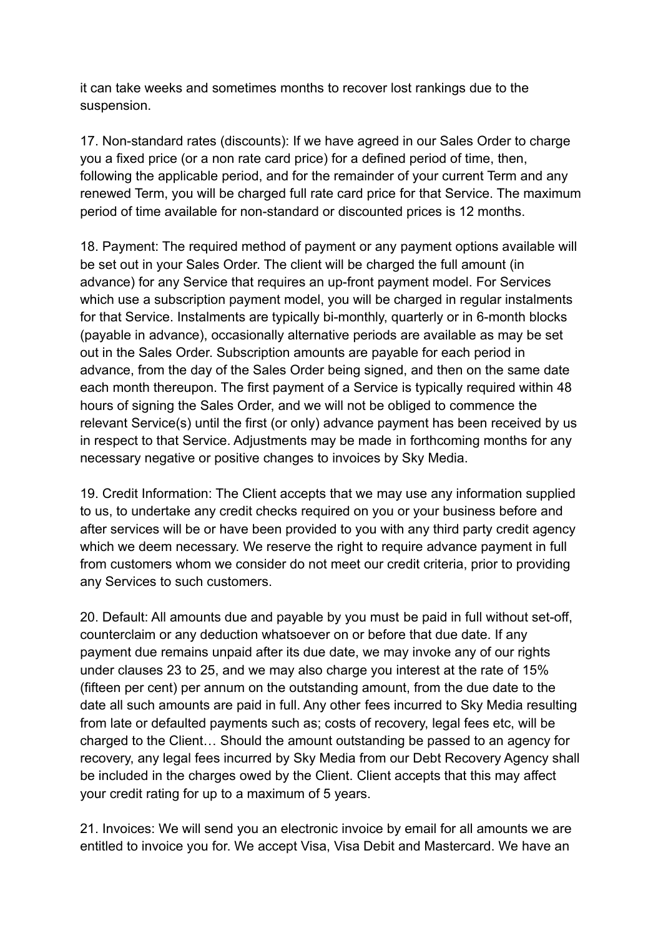it can take weeks and sometimes months to recover lost rankings due to the suspension.

17. Non-standard rates (discounts): If we have agreed in our Sales Order to charge you a fixed price (or a non rate card price) for a defined period of time, then, following the applicable period, and for the remainder of your current Term and any renewed Term, you will be charged full rate card price for that Service. The maximum period of time available for non-standard or discounted prices is 12 months.

18. Payment: The required method of payment or any payment options available will be set out in your Sales Order. The client will be charged the full amount (in advance) for any Service that requires an up-front payment model. For Services which use a subscription payment model, you will be charged in regular instalments for that Service. Instalments are typically bi-monthly, quarterly or in 6-month blocks (payable in advance), occasionally alternative periods are available as may be set out in the Sales Order. Subscription amounts are payable for each period in advance, from the day of the Sales Order being signed, and then on the same date each month thereupon. The first payment of a Service is typically required within 48 hours of signing the Sales Order, and we will not be obliged to commence the relevant Service(s) until the first (or only) advance payment has been received by us in respect to that Service. Adjustments may be made in forthcoming months for any necessary negative or positive changes to invoices by Sky Media.

19. Credit Information: The Client accepts that we may use any information supplied to us, to undertake any credit checks required on you or your business before and after services will be or have been provided to you with any third party credit agency which we deem necessary. We reserve the right to require advance payment in full from customers whom we consider do not meet our credit criteria, prior to providing any Services to such customers.

20. Default: All amounts due and payable by you must be paid in full without set-off, counterclaim or any deduction whatsoever on or before that due date. If any payment due remains unpaid after its due date, we may invoke any of our rights under clauses 23 to 25, and we may also charge you interest at the rate of 15% (fifteen per cent) per annum on the outstanding amount, from the due date to the date all such amounts are paid in full. Any other fees incurred to Sky Media resulting from late or defaulted payments such as; costs of recovery, legal fees etc, will be charged to the Client… Should the amount outstanding be passed to an agency for recovery, any legal fees incurred by Sky Media from our Debt Recovery Agency shall be included in the charges owed by the Client. Client accepts that this may affect your credit rating for up to a maximum of 5 years.

21. Invoices: We will send you an electronic invoice by email for all amounts we are entitled to invoice you for. We accept Visa, Visa Debit and Mastercard. We have an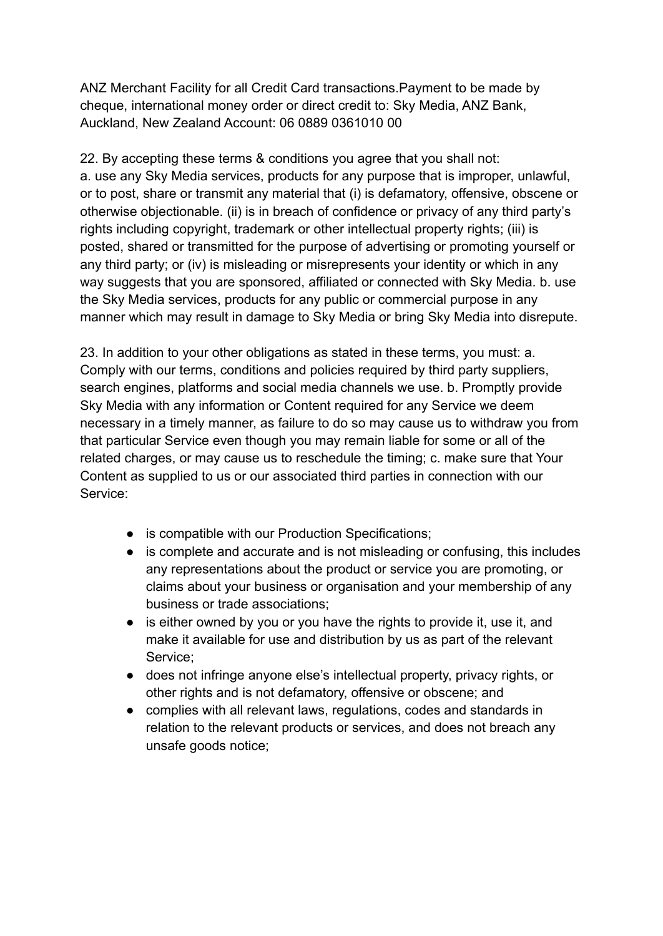ANZ Merchant Facility for all Credit Card transactions.Payment to be made by cheque, international money order or direct credit to: Sky Media, ANZ Bank, Auckland, New Zealand Account: 06 0889 0361010 00

22. By accepting these terms & conditions you agree that you shall not: a. use any Sky Media services, products for any purpose that is improper, unlawful, or to post, share or transmit any material that (i) is defamatory, offensive, obscene or otherwise objectionable. (ii) is in breach of confidence or privacy of any third party's rights including copyright, trademark or other intellectual property rights; (iii) is posted, shared or transmitted for the purpose of advertising or promoting yourself or any third party; or (iv) is misleading or misrepresents your identity or which in any way suggests that you are sponsored, affiliated or connected with Sky Media. b. use the Sky Media services, products for any public or commercial purpose in any manner which may result in damage to Sky Media or bring Sky Media into disrepute.

23. In addition to your other obligations as stated in these terms, you must: a. Comply with our terms, conditions and policies required by third party suppliers, search engines, platforms and social media channels we use. b. Promptly provide Sky Media with any information or Content required for any Service we deem necessary in a timely manner, as failure to do so may cause us to withdraw you from that particular Service even though you may remain liable for some or all of the related charges, or may cause us to reschedule the timing; c. make sure that Your Content as supplied to us or our associated third parties in connection with our Service:

- is compatible with our Production Specifications;
- is complete and accurate and is not misleading or confusing, this includes any representations about the product or service you are promoting, or claims about your business or organisation and your membership of any business or trade associations;
- is either owned by you or you have the rights to provide it, use it, and make it available for use and distribution by us as part of the relevant Service;
- does not infringe anyone else's intellectual property, privacy rights, or other rights and is not defamatory, offensive or obscene; and
- complies with all relevant laws, regulations, codes and standards in relation to the relevant products or services, and does not breach any unsafe goods notice;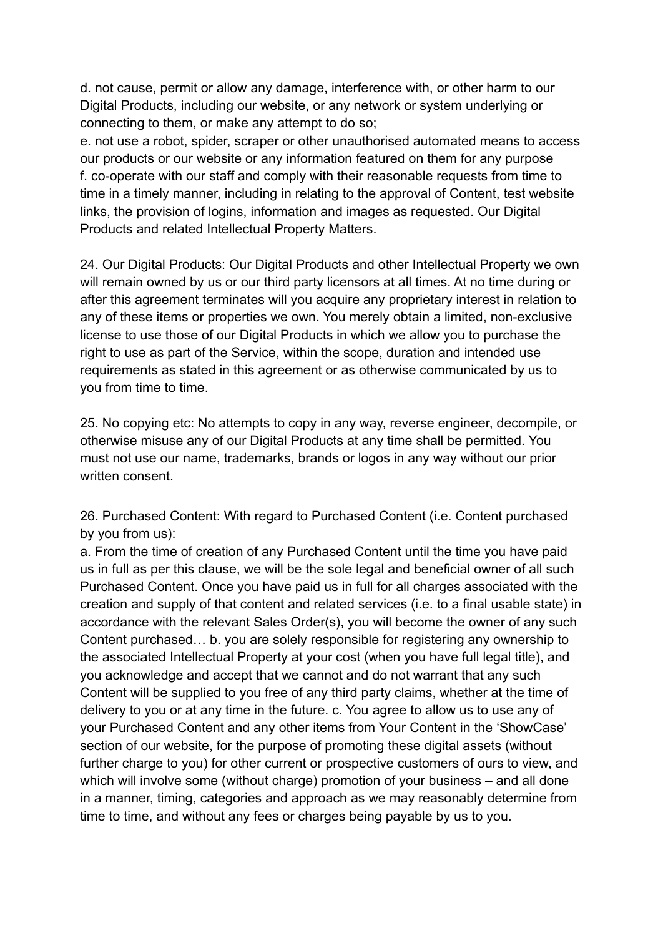d. not cause, permit or allow any damage, interference with, or other harm to our Digital Products, including our website, or any network or system underlying or connecting to them, or make any attempt to do so;

e. not use a robot, spider, scraper or other unauthorised automated means to access our products or our website or any information featured on them for any purpose f. co-operate with our staff and comply with their reasonable requests from time to time in a timely manner, including in relating to the approval of Content, test website links, the provision of logins, information and images as requested. Our Digital Products and related Intellectual Property Matters.

24. Our Digital Products: Our Digital Products and other Intellectual Property we own will remain owned by us or our third party licensors at all times. At no time during or after this agreement terminates will you acquire any proprietary interest in relation to any of these items or properties we own. You merely obtain a limited, non-exclusive license to use those of our Digital Products in which we allow you to purchase the right to use as part of the Service, within the scope, duration and intended use requirements as stated in this agreement or as otherwise communicated by us to you from time to time.

25. No copying etc: No attempts to copy in any way, reverse engineer, decompile, or otherwise misuse any of our Digital Products at any time shall be permitted. You must not use our name, trademarks, brands or logos in any way without our prior written consent.

26. Purchased Content: With regard to Purchased Content (i.e. Content purchased by you from us):

a. From the time of creation of any Purchased Content until the time you have paid us in full as per this clause, we will be the sole legal and beneficial owner of all such Purchased Content. Once you have paid us in full for all charges associated with the creation and supply of that content and related services (i.e. to a final usable state) in accordance with the relevant Sales Order(s), you will become the owner of any such Content purchased… b. you are solely responsible for registering any ownership to the associated Intellectual Property at your cost (when you have full legal title), and you acknowledge and accept that we cannot and do not warrant that any such Content will be supplied to you free of any third party claims, whether at the time of delivery to you or at any time in the future. c. You agree to allow us to use any of your Purchased Content and any other items from Your Content in the 'ShowCase' section of our website, for the purpose of promoting these digital assets (without further charge to you) for other current or prospective customers of ours to view, and which will involve some (without charge) promotion of your business – and all done in a manner, timing, categories and approach as we may reasonably determine from time to time, and without any fees or charges being payable by us to you.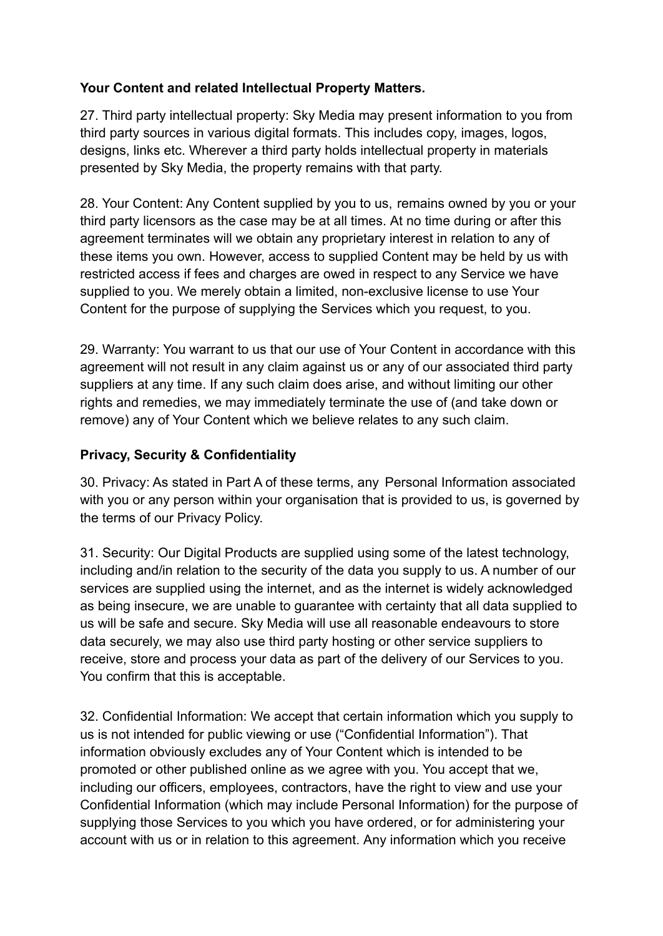## **Your Content and related Intellectual Property Matters.**

27. Third party intellectual property: Sky Media may present information to you from third party sources in various digital formats. This includes copy, images, logos, designs, links etc. Wherever a third party holds intellectual property in materials presented by Sky Media, the property remains with that party.

28. Your Content: Any Content supplied by you to us, remains owned by you or your third party licensors as the case may be at all times. At no time during or after this agreement terminates will we obtain any proprietary interest in relation to any of these items you own. However, access to supplied Content may be held by us with restricted access if fees and charges are owed in respect to any Service we have supplied to you. We merely obtain a limited, non-exclusive license to use Your Content for the purpose of supplying the Services which you request, to you.

29. Warranty: You warrant to us that our use of Your Content in accordance with this agreement will not result in any claim against us or any of our associated third party suppliers at any time. If any such claim does arise, and without limiting our other rights and remedies, we may immediately terminate the use of (and take down or remove) any of Your Content which we believe relates to any such claim.

## **Privacy, Security & Confidentiality**

30. Privacy: As stated in Part A of these terms, any Personal Information associated with you or any person within your organisation that is provided to us, is governed by the terms of our Privacy Policy.

31. Security: Our Digital Products are supplied using some of the latest technology, including and/in relation to the security of the data you supply to us. A number of our services are supplied using the internet, and as the internet is widely acknowledged as being insecure, we are unable to guarantee with certainty that all data supplied to us will be safe and secure. Sky Media will use all reasonable endeavours to store data securely, we may also use third party hosting or other service suppliers to receive, store and process your data as part of the delivery of our Services to you. You confirm that this is acceptable.

32. Confidential Information: We accept that certain information which you supply to us is not intended for public viewing or use ("Confidential Information"). That information obviously excludes any of Your Content which is intended to be promoted or other published online as we agree with you. You accept that we, including our officers, employees, contractors, have the right to view and use your Confidential Information (which may include Personal Information) for the purpose of supplying those Services to you which you have ordered, or for administering your account with us or in relation to this agreement. Any information which you receive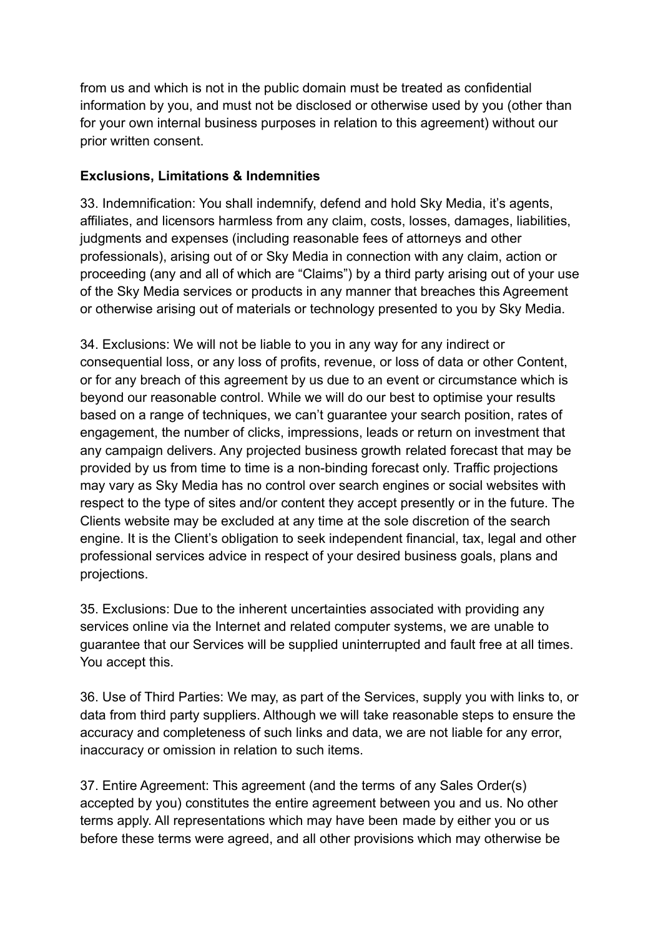from us and which is not in the public domain must be treated as confidential information by you, and must not be disclosed or otherwise used by you (other than for your own internal business purposes in relation to this agreement) without our prior written consent.

## **Exclusions, Limitations & Indemnities**

33. Indemnification: You shall indemnify, defend and hold Sky Media, it's agents, affiliates, and licensors harmless from any claim, costs, losses, damages, liabilities, judgments and expenses (including reasonable fees of attorneys and other professionals), arising out of or Sky Media in connection with any claim, action or proceeding (any and all of which are "Claims") by a third party arising out of your use of the Sky Media services or products in any manner that breaches this Agreement or otherwise arising out of materials or technology presented to you by Sky Media.

34. Exclusions: We will not be liable to you in any way for any indirect or consequential loss, or any loss of profits, revenue, or loss of data or other Content, or for any breach of this agreement by us due to an event or circumstance which is beyond our reasonable control. While we will do our best to optimise your results based on a range of techniques, we can't guarantee your search position, rates of engagement, the number of clicks, impressions, leads or return on investment that any campaign delivers. Any projected business growth related forecast that may be provided by us from time to time is a non-binding forecast only. Traffic projections may vary as Sky Media has no control over search engines or social websites with respect to the type of sites and/or content they accept presently or in the future. The Clients website may be excluded at any time at the sole discretion of the search engine. It is the Client's obligation to seek independent financial, tax, legal and other professional services advice in respect of your desired business goals, plans and projections.

35. Exclusions: Due to the inherent uncertainties associated with providing any services online via the Internet and related computer systems, we are unable to guarantee that our Services will be supplied uninterrupted and fault free at all times. You accept this.

36. Use of Third Parties: We may, as part of the Services, supply you with links to, or data from third party suppliers. Although we will take reasonable steps to ensure the accuracy and completeness of such links and data, we are not liable for any error, inaccuracy or omission in relation to such items.

37. Entire Agreement: This agreement (and the terms of any Sales Order(s) accepted by you) constitutes the entire agreement between you and us. No other terms apply. All representations which may have been made by either you or us before these terms were agreed, and all other provisions which may otherwise be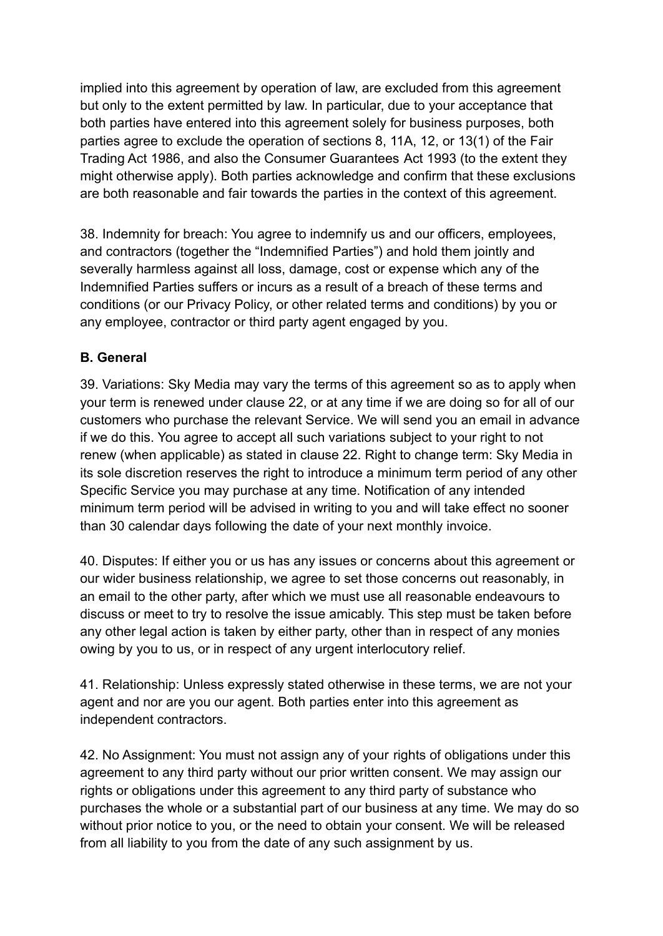implied into this agreement by operation of law, are excluded from this agreement but only to the extent permitted by law. In particular, due to your acceptance that both parties have entered into this agreement solely for business purposes, both parties agree to exclude the operation of sections 8, 11A, 12, or 13(1) of the Fair Trading Act 1986, and also the Consumer Guarantees Act 1993 (to the extent they might otherwise apply). Both parties acknowledge and confirm that these exclusions are both reasonable and fair towards the parties in the context of this agreement.

38. Indemnity for breach: You agree to indemnify us and our officers, employees, and contractors (together the "Indemnified Parties") and hold them jointly and severally harmless against all loss, damage, cost or expense which any of the Indemnified Parties suffers or incurs as a result of a breach of these terms and conditions (or our Privacy Policy, or other related terms and conditions) by you or any employee, contractor or third party agent engaged by you.

## **B. General**

39. Variations: Sky Media may vary the terms of this agreement so as to apply when your term is renewed under clause 22, or at any time if we are doing so for all of our customers who purchase the relevant Service. We will send you an email in advance if we do this. You agree to accept all such variations subject to your right to not renew (when applicable) as stated in clause 22. Right to change term: Sky Media in its sole discretion reserves the right to introduce a minimum term period of any other Specific Service you may purchase at any time. Notification of any intended minimum term period will be advised in writing to you and will take effect no sooner than 30 calendar days following the date of your next monthly invoice.

40. Disputes: If either you or us has any issues or concerns about this agreement or our wider business relationship, we agree to set those concerns out reasonably, in an email to the other party, after which we must use all reasonable endeavours to discuss or meet to try to resolve the issue amicably. This step must be taken before any other legal action is taken by either party, other than in respect of any monies owing by you to us, or in respect of any urgent interlocutory relief.

41. Relationship: Unless expressly stated otherwise in these terms, we are not your agent and nor are you our agent. Both parties enter into this agreement as independent contractors.

42. No Assignment: You must not assign any of your rights of obligations under this agreement to any third party without our prior written consent. We may assign our rights or obligations under this agreement to any third party of substance who purchases the whole or a substantial part of our business at any time. We may do so without prior notice to you, or the need to obtain your consent. We will be released from all liability to you from the date of any such assignment by us.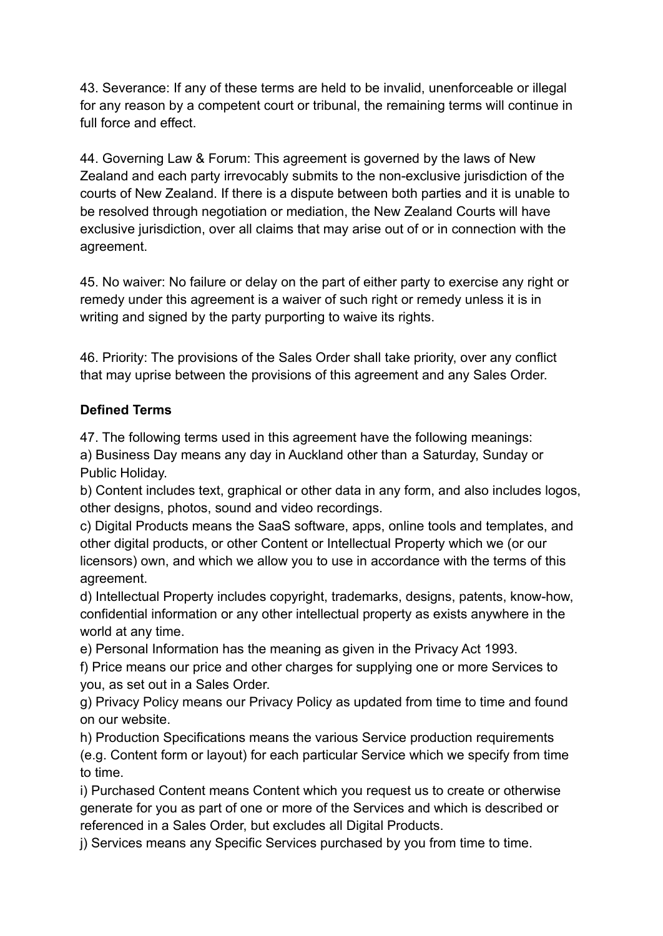43. Severance: If any of these terms are held to be invalid, unenforceable or illegal for any reason by a competent court or tribunal, the remaining terms will continue in full force and effect.

44. Governing Law & Forum: This agreement is governed by the laws of New Zealand and each party irrevocably submits to the non-exclusive jurisdiction of the courts of New Zealand. If there is a dispute between both parties and it is unable to be resolved through negotiation or mediation, the New Zealand Courts will have exclusive jurisdiction, over all claims that may arise out of or in connection with the agreement.

45. No waiver: No failure or delay on the part of either party to exercise any right or remedy under this agreement is a waiver of such right or remedy unless it is in writing and signed by the party purporting to waive its rights.

46. Priority: The provisions of the Sales Order shall take priority, over any conflict that may uprise between the provisions of this agreement and any Sales Order.

# **Defined Terms**

47. The following terms used in this agreement have the following meanings:

a) Business Day means any day in Auckland other than a Saturday, Sunday or Public Holiday.

b) Content includes text, graphical or other data in any form, and also includes logos, other designs, photos, sound and video recordings.

c) Digital Products means the SaaS software, apps, online tools and templates, and other digital products, or other Content or Intellectual Property which we (or our licensors) own, and which we allow you to use in accordance with the terms of this agreement.

d) Intellectual Property includes copyright, trademarks, designs, patents, know-how, confidential information or any other intellectual property as exists anywhere in the world at any time.

e) Personal Information has the meaning as given in the Privacy Act 1993.

f) Price means our price and other charges for supplying one or more Services to you, as set out in a Sales Order.

g) Privacy Policy means our Privacy Policy as updated from time to time and found on our website.

h) Production Specifications means the various Service production requirements (e.g. Content form or layout) for each particular Service which we specify from time to time.

i) Purchased Content means Content which you request us to create or otherwise generate for you as part of one or more of the Services and which is described or referenced in a Sales Order, but excludes all Digital Products.

j) Services means any Specific Services purchased by you from time to time.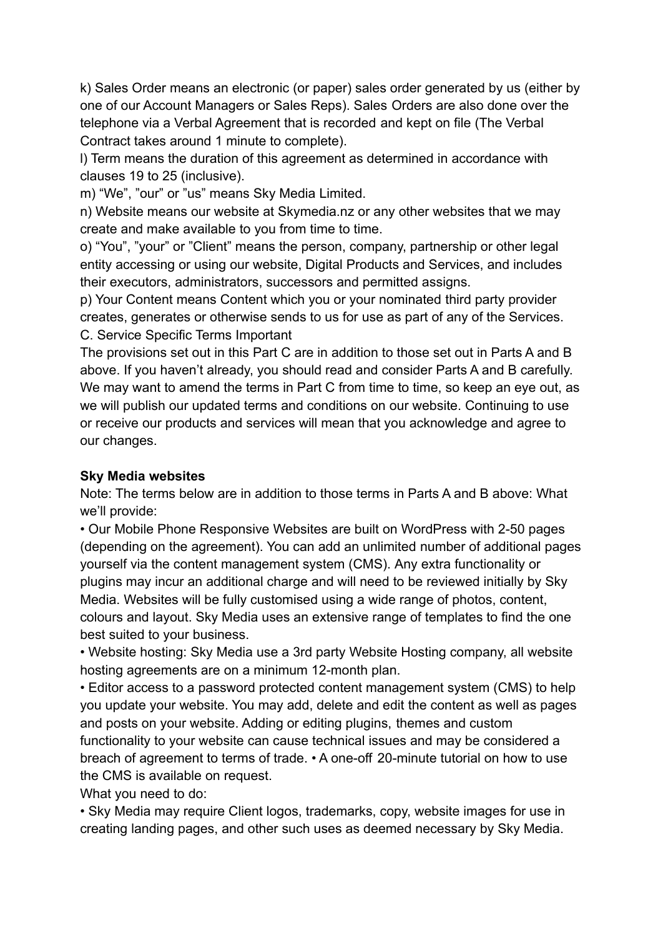k) Sales Order means an electronic (or paper) sales order generated by us (either by one of our Account Managers or Sales Reps). Sales Orders are also done over the telephone via a Verbal Agreement that is recorded and kept on file (The Verbal Contract takes around 1 minute to complete).

l) Term means the duration of this agreement as determined in accordance with clauses 19 to 25 (inclusive).

m) "We", "our" or "us" means Sky Media Limited.

n) Website means our website at Skymedia.nz or any other websites that we may create and make available to you from time to time.

o) "You", "your" or "Client" means the person, company, partnership or other legal entity accessing or using our website, Digital Products and Services, and includes their executors, administrators, successors and permitted assigns.

p) Your Content means Content which you or your nominated third party provider creates, generates or otherwise sends to us for use as part of any of the Services. C. Service Specific Terms Important

The provisions set out in this Part C are in addition to those set out in Parts A and B above. If you haven't already, you should read and consider Parts A and B carefully. We may want to amend the terms in Part C from time to time, so keep an eye out, as we will publish our updated terms and conditions on our website. Continuing to use or receive our products and services will mean that you acknowledge and agree to our changes.

# **Sky Media websites**

Note: The terms below are in addition to those terms in Parts A and B above: What we'll provide:

• Our Mobile Phone Responsive Websites are built on WordPress with 2-50 pages (depending on the agreement). You can add an unlimited number of additional pages yourself via the content management system (CMS). Any extra functionality or plugins may incur an additional charge and will need to be reviewed initially by Sky Media. Websites will be fully customised using a wide range of photos, content, colours and layout. Sky Media uses an extensive range of templates to find the one best suited to your business.

• Website hosting: Sky Media use a 3rd party Website Hosting company, all website hosting agreements are on a minimum 12-month plan.

• Editor access to a password protected content management system (CMS) to help you update your website. You may add, delete and edit the content as well as pages and posts on your website. Adding or editing plugins, themes and custom functionality to your website can cause technical issues and may be considered a breach of agreement to terms of trade. • A one-off 20-minute tutorial on how to use the CMS is available on request.

What you need to do:

• Sky Media may require Client logos, trademarks, copy, website images for use in creating landing pages, and other such uses as deemed necessary by Sky Media.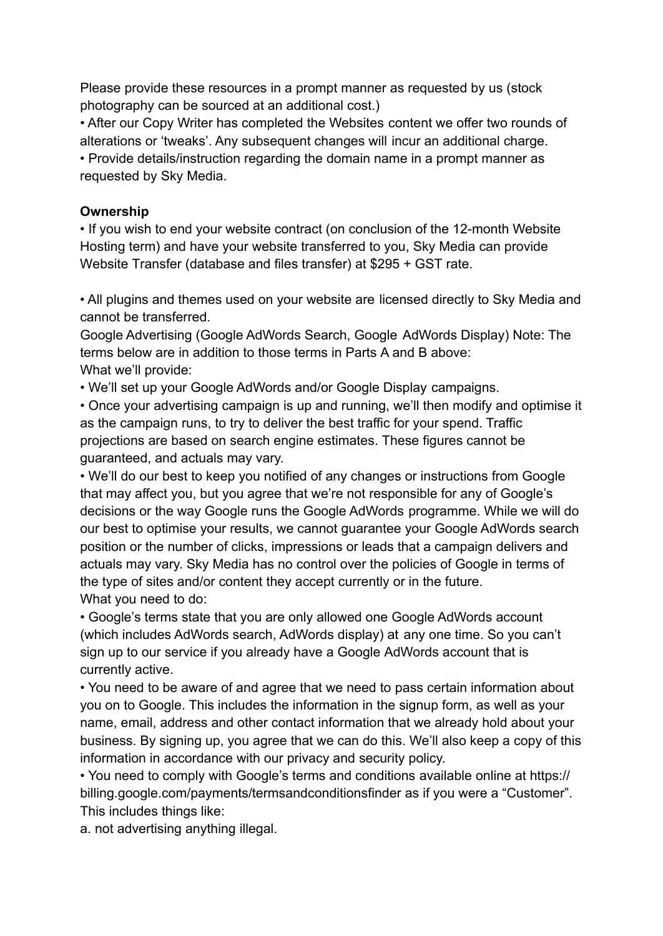Please provide these resources in a prompt manner as requested by us (stock photography can be sourced at an additional cost.)

• After our Copy Writer has completed the Websites content we offer two rounds of alterations or 'tweaks'. Any subsequent changes will incur an additional charge. • Provide details/instruction regarding the domain name in a prompt manner as requested by Sky Media.

#### **Ownership**

• If you wish to end your website contract (on conclusion of the 12-month Website Hosting term) and have your website transferred to you, Sky Media can provide Website Transfer (database and files transfer) at \$295 + GST rate.

• All plugins and themes used on your website are licensed directly to Sky Media and cannot be transferred.

Google Advertising (Google AdWords Search, Google AdWords Display) Note: The terms below are in addition to those terms in Parts A and B above: What we'll provide:

• We'll set up your Google AdWords and/or Google Display campaigns.

• Once your advertising campaign is up and running, we'll then modify and optimise it as the campaign runs, to try to deliver the best traffic for your spend. Traffic projections are based on search engine estimates. These figures cannot be guaranteed, and actuals may vary.

• We'll do our best to keep you notified of any changes or instructions from Google that may affect you, but you agree that we're not responsible for any of Google's decisions or the way Google runs the Google AdWords programme. While we will do our best to optimise your results, we cannot guarantee your Google AdWords search position or the number of clicks, impressions or leads that a campaign delivers and actuals may vary. Sky Media has no control over the policies of Google in terms of the type of sites and/or content they accept currently or in the future. What you need to do:

• Google's terms state that you are only allowed one Google AdWords account (which includes AdWords search, AdWords display) at any one time. So you can't sign up to our service if you already have a Google AdWords account that is currently active.

• You need to be aware of and agree that we need to pass certain information about you on to Google. This includes the information in the signup form, as well as your name, email, address and other contact information that we already hold about your business. By signing up, you agree that we can do this. We'll also keep a copy of this information in accordance with our privacy and security policy.

• You need to comply with Google's terms and conditions available online at https:// billing.google.com/payments/termsandconditionsfinder as if you were a "Customer". This includes things like:

a. not advertising anything illegal.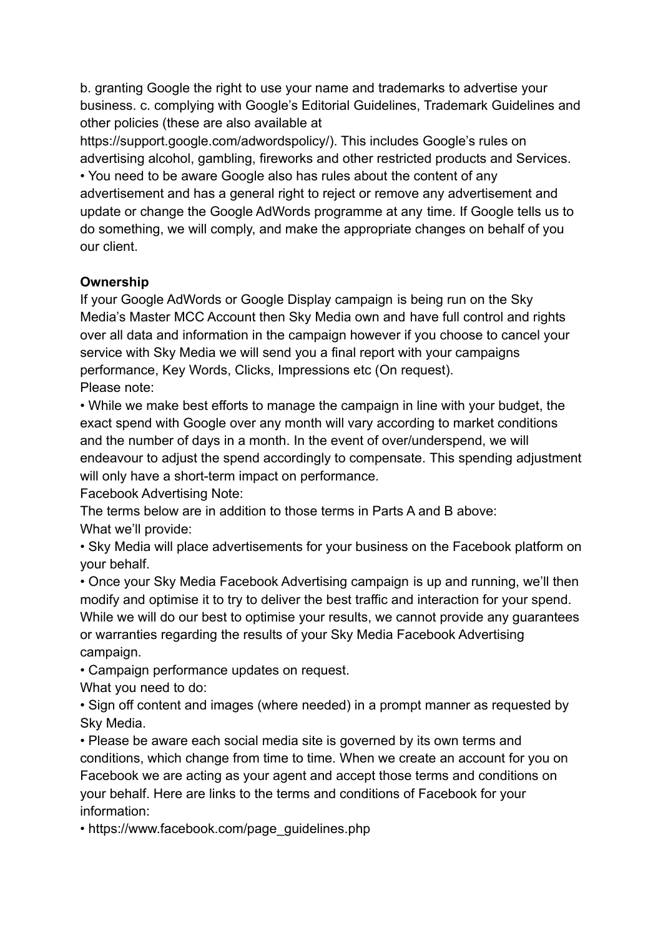b. granting Google the right to use your name and trademarks to advertise your business. c. complying with Google's Editorial Guidelines, Trademark Guidelines and other policies (these are also available at

https://support.google.com/adwordspolicy/). This includes Google's rules on advertising alcohol, gambling, fireworks and other restricted products and Services. • You need to be aware Google also has rules about the content of any advertisement and has a general right to reject or remove any advertisement and update or change the Google AdWords programme at any time. If Google tells us to do something, we will comply, and make the appropriate changes on behalf of you our client.

## **Ownership**

If your Google AdWords or Google Display campaign is being run on the Sky Media's Master MCC Account then Sky Media own and have full control and rights over all data and information in the campaign however if you choose to cancel your service with Sky Media we will send you a final report with your campaigns performance, Key Words, Clicks, Impressions etc (On request). Please note:

• While we make best efforts to manage the campaign in line with your budget, the exact spend with Google over any month will vary according to market conditions and the number of days in a month. In the event of over/underspend, we will endeavour to adjust the spend accordingly to compensate. This spending adjustment will only have a short-term impact on performance.

Facebook Advertising Note:

The terms below are in addition to those terms in Parts A and B above: What we'll provide:

• Sky Media will place advertisements for your business on the Facebook platform on your behalf.

• Once your Sky Media Facebook Advertising campaign is up and running, we'll then modify and optimise it to try to deliver the best traffic and interaction for your spend. While we will do our best to optimise your results, we cannot provide any guarantees or warranties regarding the results of your Sky Media Facebook Advertising campaign.

• Campaign performance updates on request.

What you need to do:

• Sign off content and images (where needed) in a prompt manner as requested by Sky Media.

• Please be aware each social media site is governed by its own terms and conditions, which change from time to time. When we create an account for you on Facebook we are acting as your agent and accept those terms and conditions on your behalf. Here are links to the terms and conditions of Facebook for your information:

• https://www.facebook.com/page\_guidelines.php